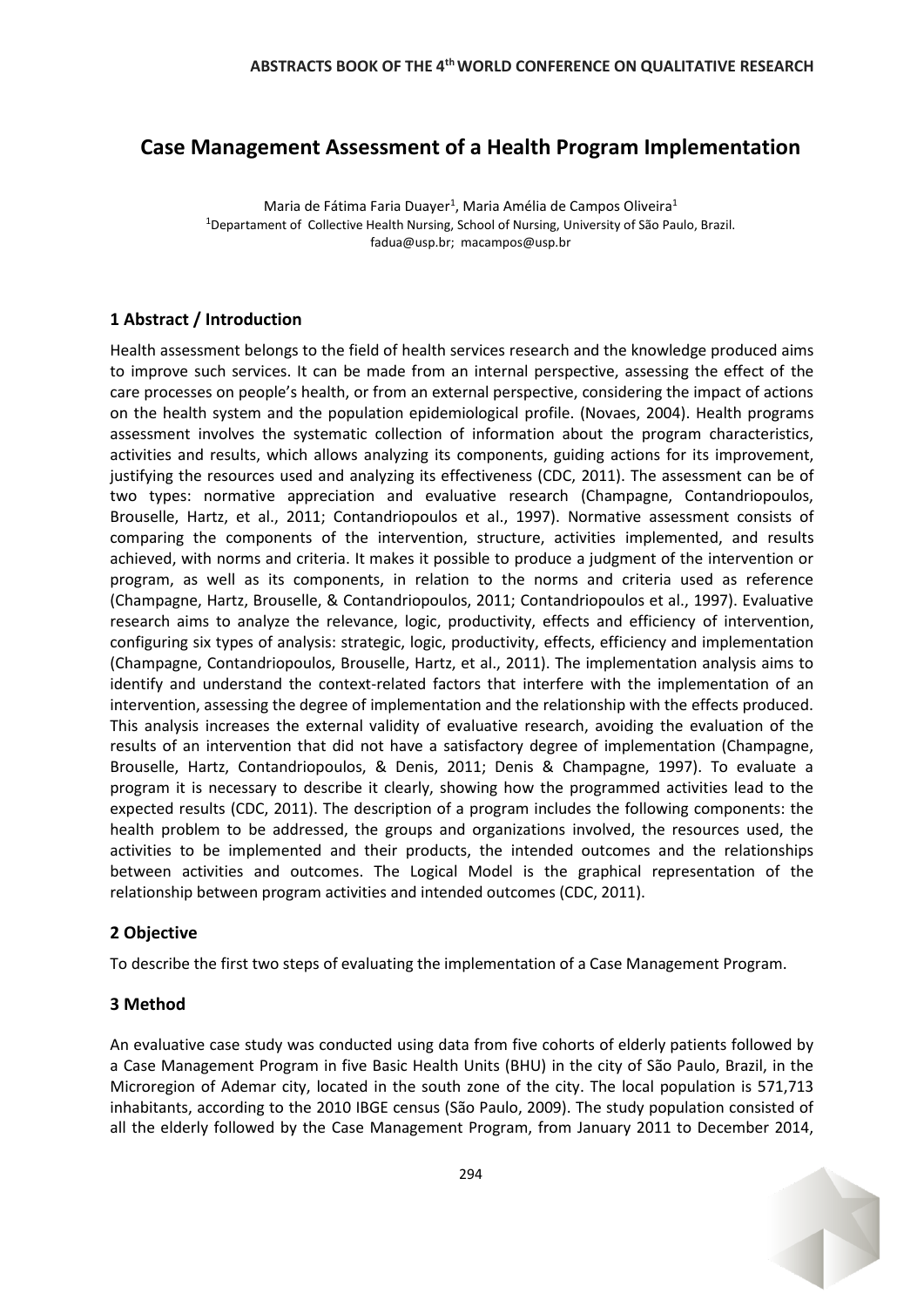# **Case Management Assessment of a Health Program Implementation**

Maria de Fátima Faria Duayer<sup>1</sup>, Maria Amélia de Campos Oliveira<sup>1</sup> <sup>1</sup>Departament of Collective Health Nursing, School of Nursing, University of São Paulo, Brazil. fadua@usp.br; macampos@usp.br

## **1 Abstract / Introduction**

Health assessment belongs to the field of health services research and the knowledge produced aims to improve such services. It can be made from an internal perspective, assessing the effect of the care processes on people's health, or from an external perspective, considering the impact of actions on the health system and the population epidemiological profile. (Novaes, 2004). Health programs assessment involves the systematic collection of information about the program characteristics, activities and results, which allows analyzing its components, guiding actions for its improvement, justifying the resources used and analyzing its effectiveness (CDC, 2011). The assessment can be of two types: normative appreciation and evaluative research (Champagne, Contandriopoulos, Brouselle, Hartz, et al., 2011; Contandriopoulos et al., 1997). Normative assessment consists of comparing the components of the intervention, structure, activities implemented, and results achieved, with norms and criteria. It makes it possible to produce a judgment of the intervention or program, as well as its components, in relation to the norms and criteria used as reference (Champagne, Hartz, Brouselle, & Contandriopoulos, 2011; Contandriopoulos et al., 1997). Evaluative research aims to analyze the relevance, logic, productivity, effects and efficiency of intervention, configuring six types of analysis: strategic, logic, productivity, effects, efficiency and implementation (Champagne, Contandriopoulos, Brouselle, Hartz, et al., 2011). The implementation analysis aims to identify and understand the context-related factors that interfere with the implementation of an intervention, assessing the degree of implementation and the relationship with the effects produced. This analysis increases the external validity of evaluative research, avoiding the evaluation of the results of an intervention that did not have a satisfactory degree of implementation (Champagne, Brouselle, Hartz, Contandriopoulos, & Denis, 2011; Denis & Champagne, 1997). To evaluate a program it is necessary to describe it clearly, showing how the programmed activities lead to the expected results (CDC, 2011). The description of a program includes the following components: the health problem to be addressed, the groups and organizations involved, the resources used, the activities to be implemented and their products, the intended outcomes and the relationships between activities and outcomes. The Logical Model is the graphical representation of the relationship between program activities and intended outcomes (CDC, 2011).

## **2 Objective**

To describe the first two steps of evaluating the implementation of a Case Management Program.

## **3 Method**

An evaluative case study was conducted using data from five cohorts of elderly patients followed by a Case Management Program in five Basic Health Units (BHU) in the city of São Paulo, Brazil, in the Microregion of Ademar city, located in the south zone of the city. The local population is 571,713 inhabitants, according to the 2010 IBGE census (São Paulo, 2009). The study population consisted of all the elderly followed by the Case Management Program, from January 2011 to December 2014,

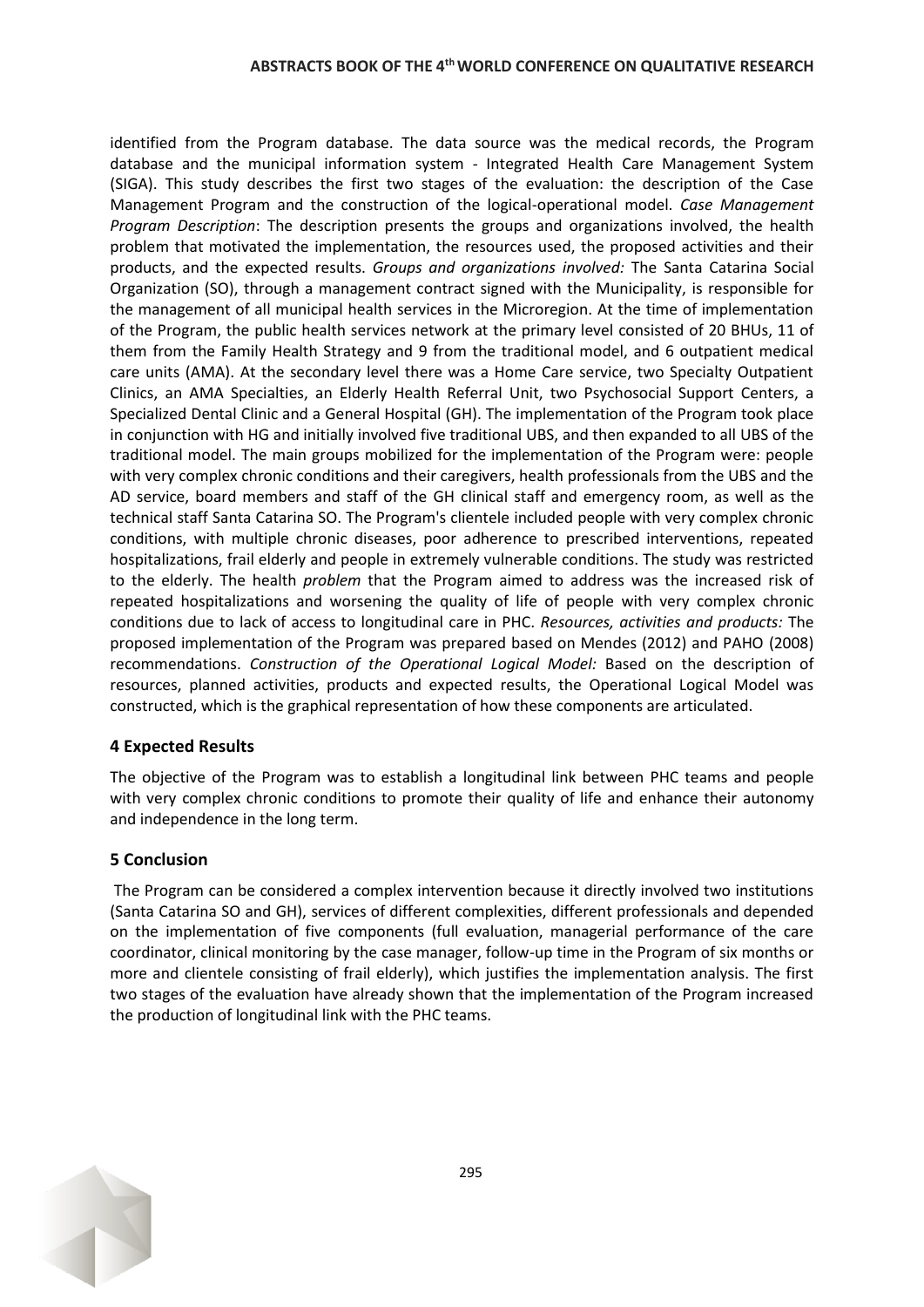#### **ABSTRACTS BOOK OF THE 4thWORLD CONFERENCE ON QUALITATIVE RESEARCH**

identified from the Program database. The data source was the medical records, the Program database and the municipal information system - Integrated Health Care Management System (SIGA). This study describes the first two stages of the evaluation: the description of the Case Management Program and the construction of the logical-operational model. *Case Management Program Description*: The description presents the groups and organizations involved, the health problem that motivated the implementation, the resources used, the proposed activities and their products, and the expected results. *Groups and organizations involved:* The Santa Catarina Social Organization (SO), through a management contract signed with the Municipality, is responsible for the management of all municipal health services in the Microregion. At the time of implementation of the Program, the public health services network at the primary level consisted of 20 BHUs, 11 of them from the Family Health Strategy and 9 from the traditional model, and 6 outpatient medical care units (AMA). At the secondary level there was a Home Care service, two Specialty Outpatient Clinics, an AMA Specialties, an Elderly Health Referral Unit, two Psychosocial Support Centers, a Specialized Dental Clinic and a General Hospital (GH). The implementation of the Program took place in conjunction with HG and initially involved five traditional UBS, and then expanded to all UBS of the traditional model. The main groups mobilized for the implementation of the Program were: people with very complex chronic conditions and their caregivers, health professionals from the UBS and the AD service, board members and staff of the GH clinical staff and emergency room, as well as the technical staff Santa Catarina SO. The Program's clientele included people with very complex chronic conditions, with multiple chronic diseases, poor adherence to prescribed interventions, repeated hospitalizations, frail elderly and people in extremely vulnerable conditions. The study was restricted to the elderly. The health *problem* that the Program aimed to address was the increased risk of repeated hospitalizations and worsening the quality of life of people with very complex chronic conditions due to lack of access to longitudinal care in PHC. *Resources, activities and products:* The proposed implementation of the Program was prepared based on Mendes (2012) and PAHO (2008) recommendations. *Construction of the Operational Logical Model:* Based on the description of resources, planned activities, products and expected results, the Operational Logical Model was constructed, which is the graphical representation of how these components are articulated.

## **4 Expected Results**

The objective of the Program was to establish a longitudinal link between PHC teams and people with very complex chronic conditions to promote their quality of life and enhance their autonomy and independence in the long term.

## **5 Conclusion**

The Program can be considered a complex intervention because it directly involved two institutions (Santa Catarina SO and GH), services of different complexities, different professionals and depended on the implementation of five components (full evaluation, managerial performance of the care coordinator, clinical monitoring by the case manager, follow-up time in the Program of six months or more and clientele consisting of frail elderly), which justifies the implementation analysis. The first two stages of the evaluation have already shown that the implementation of the Program increased the production of longitudinal link with the PHC teams.